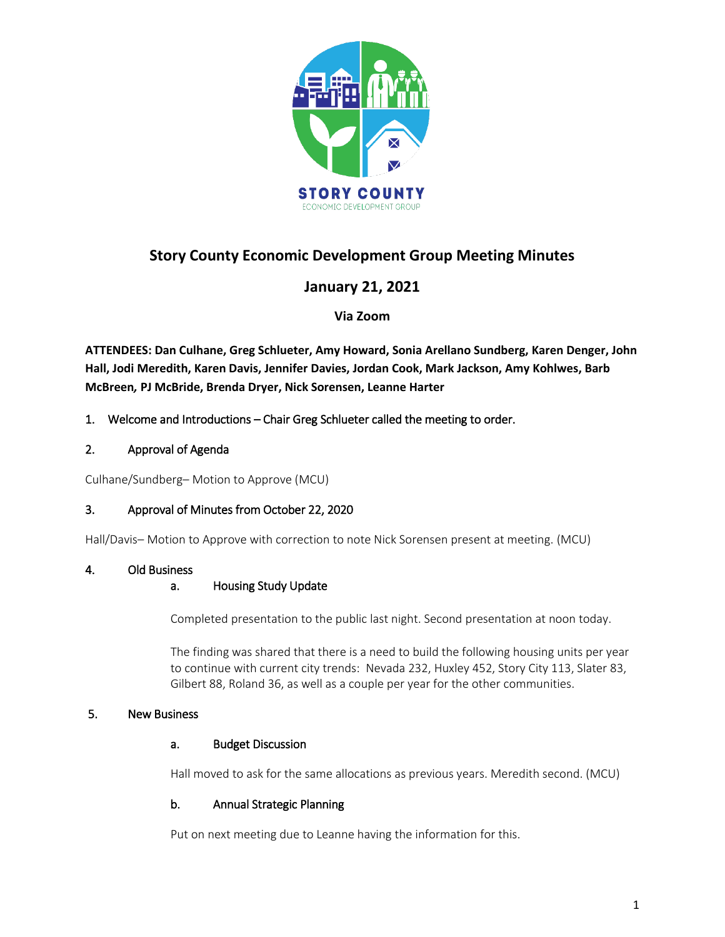

# **Story County Economic Development Group Meeting Minutes**

## **January 21, 2021**

## **Via Zoom**

**ATTENDEES: Dan Culhane, Greg Schlueter, Amy Howard, Sonia Arellano Sundberg, Karen Denger, John Hall, Jodi Meredith, Karen Davis, Jennifer Davies, Jordan Cook, Mark Jackson, Amy Kohlwes, Barb McBreen***,* **PJ McBride, Brenda Dryer, Nick Sorensen, Leanne Harter**

## 1. Welcome and Introductions – Chair Greg Schlueter called the meeting to order.

## 2. Approval of Agenda

Culhane/Sundberg– Motion to Approve (MCU)

## 3. Approval of Minutes from October 22, 2020

Hall/Davis– Motion to Approve with correction to note Nick Sorensen present at meeting. (MCU)

## 4. Old Business

## a. Housing Study Update

Completed presentation to the public last night. Second presentation at noon today.

The finding was shared that there is a need to build the following housing units per year to continue with current city trends: Nevada 232, Huxley 452, Story City 113, Slater 83, Gilbert 88, Roland 36, as well as a couple per year for the other communities.

## 5. New Business

#### a. Budget Discussion

Hall moved to ask for the same allocations as previous years. Meredith second. (MCU)

#### b. Annual Strategic Planning

Put on next meeting due to Leanne having the information for this.